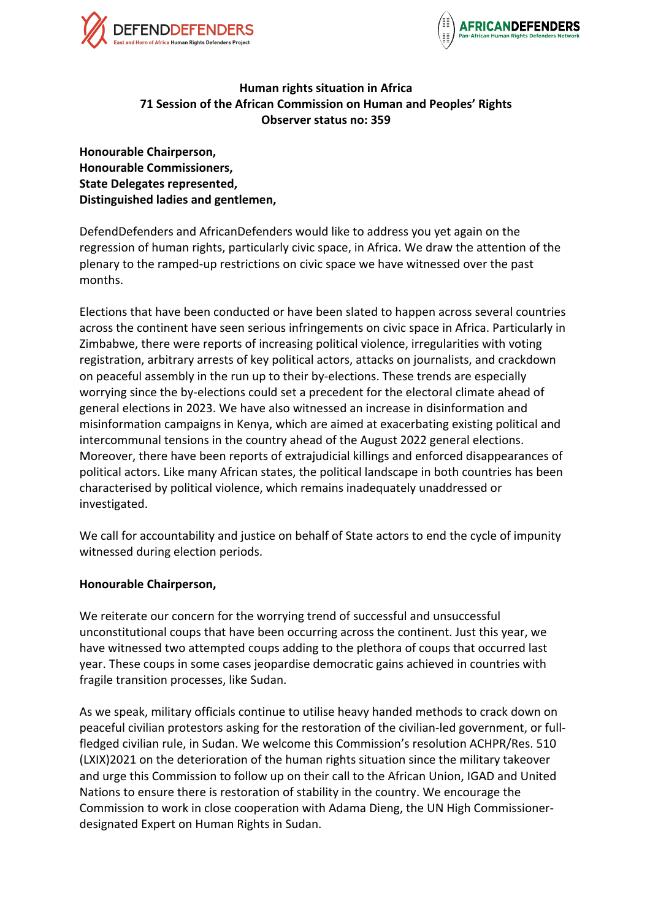



# **Human rights situation in Africa 71 Session of the African Commission on Human and Peoples' Rights Observer status no: 359**

**Honourable Chairperson, Honourable Commissioners, State Delegates represented, Distinguished ladies and gentlemen,**

DefendDefenders and AfricanDefenders would like to address you yet again on the regression of human rights, particularly civic space, in Africa. We draw the attention of the plenary to the ramped-up restrictions on civic space we have witnessed over the past months.

Elections that have been conducted or have been slated to happen across several countries across the continent have seen serious infringements on civic space in Africa. Particularly in Zimbabwe, there were reports of increasing political violence, irregularities with voting registration, arbitrary arrests of key political actors, attacks on journalists, and crackdown on peaceful assembly in the run up to their by-elections. These trends are especially worrying since the by-elections could set a precedent for the electoral climate ahead of general elections in 2023. We have also witnessed an increase in disinformation and misinformation campaigns in Kenya, which are aimed at exacerbating existing political and intercommunal tensions in the country ahead of the August 2022 general elections. Moreover, there have been reports of extrajudicial killings and enforced disappearances of political actors. Like many African states, the political landscape in both countries has been characterised by political violence, which remains inadequately unaddressed or investigated.

We call for accountability and justice on behalf of State actors to end the cycle of impunity witnessed during election periods.

#### **Honourable Chairperson,**

We reiterate our concern for the worrying trend of successful and unsuccessful unconstitutional coups that have been occurring across the continent. Just this year, we have witnessed two attempted coups adding to the plethora of coups that occurred last year. These coups in some cases jeopardise democratic gains achieved in countries with fragile transition processes, like Sudan.

As we speak, military officials continue to utilise heavy handed methods to crack down on peaceful civilian protestors asking for the restoration of the civilian-led government, or fullfledged civilian rule, in Sudan. We welcome this Commission's resolution ACHPR/Res. 510 (LXIX)2021 on the deterioration of the human rights situation since the military takeover and urge this Commission to follow up on their call to the African Union, IGAD and United Nations to ensure there is restoration of stability in the country. We encourage the Commission to work in close cooperation with Adama Dieng, the UN High Commissionerdesignated Expert on Human Rights in Sudan.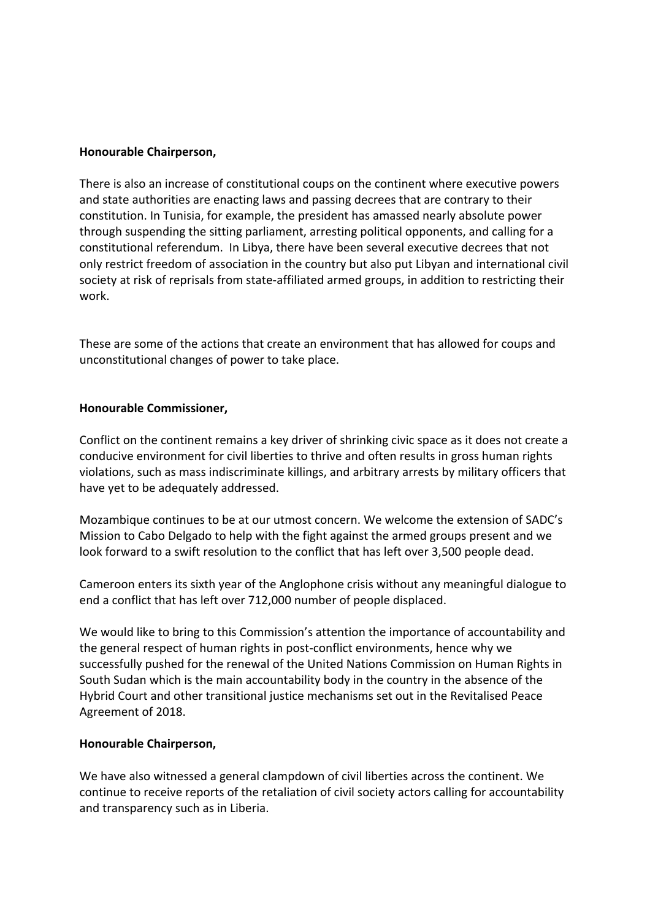### **Honourable Chairperson,**

There is also an increase of constitutional coups on the continent where executive powers and state authorities are enacting laws and passing decrees that are contrary to their constitution. In Tunisia, for example, the president has amassed nearly absolute power through suspending the sitting parliament, arresting political opponents, and calling for a constitutional referendum. In Libya, there have been several executive decrees that not only restrict freedom of association in the country but also put Libyan and international civil society at risk of reprisals from state-affiliated armed groups, in addition to restricting their work.

These are some of the actions that create an environment that has allowed for coups and unconstitutional changes of power to take place.

## **Honourable Commissioner,**

Conflict on the continent remains a key driver of shrinking civic space as it does not create a conducive environment for civil liberties to thrive and often results in gross human rights violations, such as mass indiscriminate killings, and arbitrary arrests by military officers that have yet to be adequately addressed.

Mozambique continues to be at our utmost concern. We welcome the extension of SADC's Mission to Cabo Delgado to help with the fight against the armed groups present and we look forward to a swift resolution to the conflict that has left over 3,500 people dead.

Cameroon enters its sixth year of the Anglophone crisis without any meaningful dialogue to end a conflict that has left over 712,000 number of people displaced.

We would like to bring to this Commission's attention the importance of accountability and the general respect of human rights in post-conflict environments, hence why we successfully pushed for the renewal of the United Nations Commission on Human Rights in South Sudan which is the main accountability body in the country in the absence of the Hybrid Court and other transitional justice mechanisms set out in the Revitalised Peace Agreement of 2018.

#### **Honourable Chairperson,**

We have also witnessed a general clampdown of civil liberties across the continent. We continue to receive reports of the retaliation of civil society actors calling for accountability and transparency such as in Liberia.